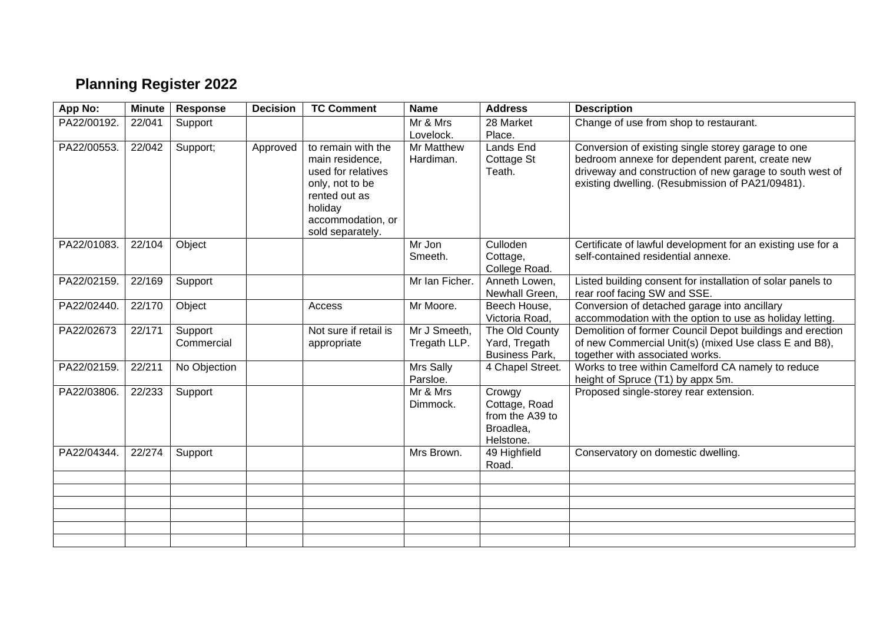## **Planning Register 2022**

| App No:     | <b>Minute</b> | <b>Response</b>       | <b>Decision</b> | <b>TC Comment</b>                                                                                                                                   | <b>Name</b>                  | <b>Address</b>                                                       | <b>Description</b>                                                                                                                                                                                                    |
|-------------|---------------|-----------------------|-----------------|-----------------------------------------------------------------------------------------------------------------------------------------------------|------------------------------|----------------------------------------------------------------------|-----------------------------------------------------------------------------------------------------------------------------------------------------------------------------------------------------------------------|
| PA22/00192. | 22/041        | Support               |                 |                                                                                                                                                     | Mr & Mrs<br>Lovelock.        | 28 Market<br>Place.                                                  | Change of use from shop to restaurant.                                                                                                                                                                                |
| PA22/00553. | 22/042        | Support;              | Approved        | to remain with the<br>main residence,<br>used for relatives<br>only, not to be<br>rented out as<br>holiday<br>accommodation, or<br>sold separately. | Mr Matthew<br>Hardiman.      | <b>Lands End</b><br>Cottage St<br>Teath.                             | Conversion of existing single storey garage to one<br>bedroom annexe for dependent parent, create new<br>driveway and construction of new garage to south west of<br>existing dwelling. (Resubmission of PA21/09481). |
| PA22/01083. | 22/104        | Object                |                 |                                                                                                                                                     | Mr Jon<br>Smeeth.            | Culloden<br>Cottage,<br>College Road.                                | Certificate of lawful development for an existing use for a<br>self-contained residential annexe.                                                                                                                     |
| PA22/02159. | 22/169        | Support               |                 |                                                                                                                                                     | Mr Ian Ficher.               | Anneth Lowen,<br>Newhall Green.                                      | Listed building consent for installation of solar panels to<br>rear roof facing SW and SSE.                                                                                                                           |
| PA22/02440. | 22/170        | Object                |                 | Access                                                                                                                                              | Mr Moore.                    | Beech House,<br>Victoria Road,                                       | Conversion of detached garage into ancillary<br>accommodation with the option to use as holiday letting.                                                                                                              |
| PA22/02673  | 22/171        | Support<br>Commercial |                 | Not sure if retail is<br>appropriate                                                                                                                | Mr J Smeeth,<br>Tregath LLP. | The Old County<br>Yard, Tregath<br><b>Business Park,</b>             | Demolition of former Council Depot buildings and erection<br>of new Commercial Unit(s) (mixed Use class E and B8),<br>together with associated works.                                                                 |
| PA22/02159. | 22/211        | No Objection          |                 |                                                                                                                                                     | Mrs Sally<br>Parsloe.        | 4 Chapel Street.                                                     | Works to tree within Camelford CA namely to reduce<br>height of Spruce (T1) by appx 5m.                                                                                                                               |
| PA22/03806. | 22/233        | Support               |                 |                                                                                                                                                     | Mr & Mrs<br>Dimmock.         | Crowgy<br>Cottage, Road<br>from the A39 to<br>Broadlea,<br>Helstone. | Proposed single-storey rear extension.                                                                                                                                                                                |
| PA22/04344. | 22/274        | Support               |                 |                                                                                                                                                     | Mrs Brown.                   | 49 Highfield<br>Road.                                                | Conservatory on domestic dwelling.                                                                                                                                                                                    |
|             |               |                       |                 |                                                                                                                                                     |                              |                                                                      |                                                                                                                                                                                                                       |
|             |               |                       |                 |                                                                                                                                                     |                              |                                                                      |                                                                                                                                                                                                                       |
|             |               |                       |                 |                                                                                                                                                     |                              |                                                                      |                                                                                                                                                                                                                       |
|             |               |                       |                 |                                                                                                                                                     |                              |                                                                      |                                                                                                                                                                                                                       |
|             |               |                       |                 |                                                                                                                                                     |                              |                                                                      |                                                                                                                                                                                                                       |